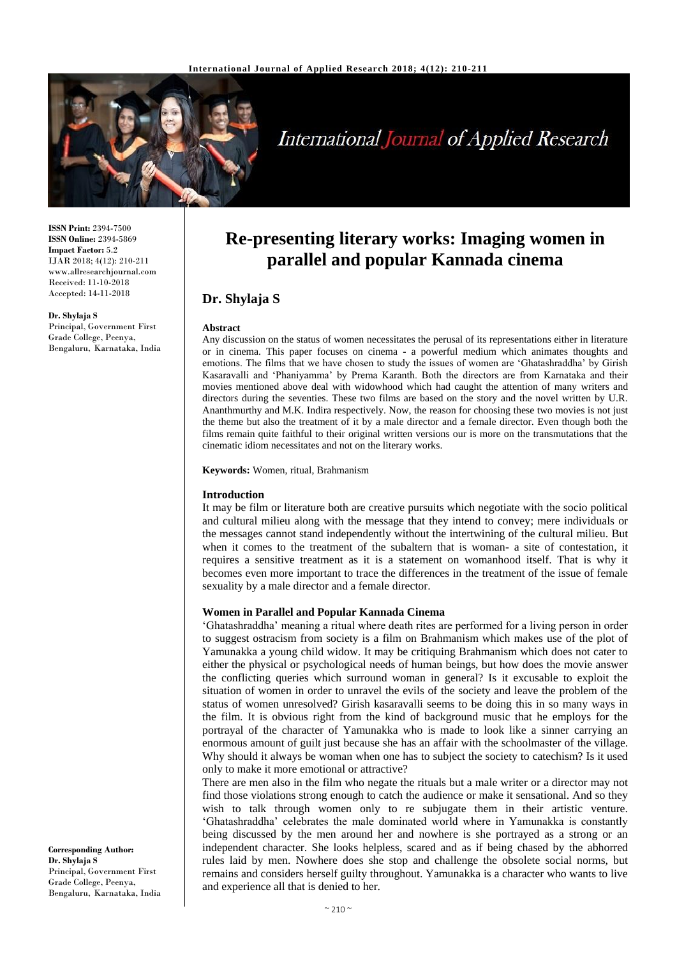

# **International Journal of Applied Research**

**ISSN Print:** 2394-7500 **ISSN Online:** 2394-5869 **Impact Factor:** 5.2 IJAR 2018; 4(12): 210-211 www.allresearchjournal.com Received: 11-10-2018 Accepted: 14-11-2018

**Dr. Shylaja S** Principal, Government First Grade College, Peenya, Bengaluru, Karnataka, India

## **Re-presenting literary works: Imaging women in parallel and popular Kannada cinema**

### **Dr. Shylaja S**

#### **Abstract**

Any discussion on the status of women necessitates the perusal of its representations either in literature or in cinema. This paper focuses on cinema - a powerful medium which animates thoughts and emotions. The films that we have chosen to study the issues of women are 'Ghatashraddha' by Girish Kasaravalli and 'Phaniyamma' by Prema Karanth. Both the directors are from Karnataka and their movies mentioned above deal with widowhood which had caught the attention of many writers and directors during the seventies. These two films are based on the story and the novel written by U.R. Ananthmurthy and M.K. Indira respectively. Now, the reason for choosing these two movies is not just the theme but also the treatment of it by a male director and a female director. Even though both the films remain quite faithful to their original written versions our is more on the transmutations that the cinematic idiom necessitates and not on the literary works.

**Keywords:** Women, ritual, Brahmanism

#### **Introduction**

It may be film or literature both are creative pursuits which negotiate with the socio political and cultural milieu along with the message that they intend to convey; mere individuals or the messages cannot stand independently without the intertwining of the cultural milieu. But when it comes to the treatment of the subaltern that is woman- a site of contestation, it requires a sensitive treatment as it is a statement on womanhood itself. That is why it becomes even more important to trace the differences in the treatment of the issue of female sexuality by a male director and a female director.

#### **Women in Parallel and Popular Kannada Cinema**

'Ghatashraddha' meaning a ritual where death rites are performed for a living person in order to suggest ostracism from society is a film on Brahmanism which makes use of the plot of Yamunakka a young child widow. It may be critiquing Brahmanism which does not cater to either the physical or psychological needs of human beings, but how does the movie answer the conflicting queries which surround woman in general? Is it excusable to exploit the situation of women in order to unravel the evils of the society and leave the problem of the status of women unresolved? Girish kasaravalli seems to be doing this in so many ways in the film. It is obvious right from the kind of background music that he employs for the portrayal of the character of Yamunakka who is made to look like a sinner carrying an enormous amount of guilt just because she has an affair with the schoolmaster of the village. Why should it always be woman when one has to subject the society to catechism? Is it used only to make it more emotional or attractive?

There are men also in the film who negate the rituals but a male writer or a director may not find those violations strong enough to catch the audience or make it sensational. And so they wish to talk through women only to re subjugate them in their artistic venture. 'Ghatashraddha' celebrates the male dominated world where in Yamunakka is constantly being discussed by the men around her and nowhere is she portrayed as a strong or an independent character. She looks helpless, scared and as if being chased by the abhorred rules laid by men. Nowhere does she stop and challenge the obsolete social norms, but remains and considers herself guilty throughout. Yamunakka is a character who wants to live and experience all that is denied to her.

**Corresponding Author: Dr. Shylaja S** Principal, Government First Grade College, Peenya, Bengaluru, Karnataka, India